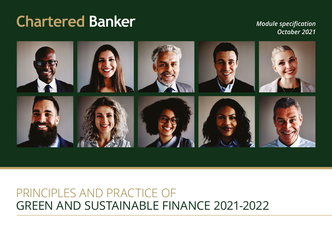# **Chartered Banker**

*Module specification October 2021*



## GREEN AND SUSTAINABLE FINANCE 2021-2022 PRINCIPLES AND PRACTICE OF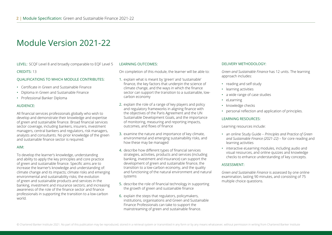LEVEL: SCQF Level 8 and broadly comparable to EQF Level 5CREDITS: 13

#### QUALIFICATIONS TO WHICH MODULE CONTRIBUTES:

- Certificate in Green and Sustainable Finance
- Diploma in Green and Sustainable Finance
- Professional Banker Diploma

#### AUDIENCE:

All financial services professionals globally who wish to develop and demonstrate their knowledge and expertise of green and sustainable finance. Broad financial services sector coverage, including bankers, insurers, investment managers, central bankers and regulators, risk managers, analysts and consultants. No prior knowledge of the green and sustainable finance sector is required.

#### AIM:

To develop the learner's knowledge, understanding and ability to apply the key principles and core practice of green and sustainable finance. Specific aims are to increase the learner's knowledge and understanding of: climate change and its impacts; climate risks and emerging environmental and sustainability risks; the evolution of green and sustainable products and services in the banking, investment and insurance sectors; and increasing awareness of the role of the finance sector and finance professionals in supporting the transition to a low-carbon world.

#### LEARNING OUTCOMES:

On completion of this module, the learner will be able to:

- 1. explain what is meant by 'green' and 'sustainable' finance, the key factors that underpin the science of climate change, and the ways in which the finance sector can support the transition to a sustainable, lowcarbon economy
- 2. explain the role of a range of key players and policy and regulatory frameworks in aligning finance with the objectives of the Paris Agreement and the UN Sustainable Development Goals, and the importance of monitoring, measuring and reporting impacts, outcomes, and flows of finance
- 3. examine the nature and importance of key climate, environmental and emerging sustainability risks, and how these may be managed
- 4. describe how different types of financial services strategies, activities, products and services (including banking, investment and insurance) can support the development of green and sustainable finance, the transition to a low-carbon economy, and the quality and functioning of the natural environment and natural systems
- 5. describe the role of financial technology in supporting the growth of green and sustainable finance
- 6. explain the steps that regulators, policymakers, institutions, organisations and Green and Sustainable Finance Professionals can take to support the mainstreaming of green and sustainable finance.

#### DELIVERY METHODOLOGY:

*Green and Sustainable Finance* has 12 units. The learning approach includes:

- reading and self-study
- learning activities
- a wide range of case studies
- eLearning
- knowledge checks
- personal reflection and application of principles.

#### LEARNING RESOURCES:

#### Learning resources include:

- an online Study Guide *Principles and Practice of Green and Sustainable Finance (2021-22)* – for core reading and learning activities
- interactive eLearning modules, including audio and visual resources, and online quizzes and knowledge checks to enhance understanding of key concepts.

#### ASSESSMENT:

*Green and Sustainable Finance* is assessed by one online examination, lasting 90 minutes, and consisting of 75 multiple choice questions.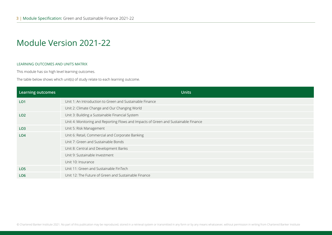#### LEARNING OUTCOMES AND UNITS MATRIX

This module has six high level learning outcomes.

The table below shows which unit(s) of study relate to each learning outcome.

| Learning outcomes | <b>Units</b>                                                                        |
|-------------------|-------------------------------------------------------------------------------------|
| LO <sub>1</sub>   | Unit 1: An Introduction to Green and Sustainable Finance                            |
|                   | Unit 2: Climate Change and Our Changing World                                       |
| LO <sub>2</sub>   | Unit 3: Building a Sustainable Financial System                                     |
|                   | Unit 4: Monitoring and Reporting Flows and Impacts of Green and Sustainable Finance |
| LO <sub>3</sub>   | Unit 5: Risk Management                                                             |
| LO <sub>4</sub>   | Unit 6: Retail, Commercial and Corporate Banking                                    |
|                   | Unit 7: Green and Sustainable Bonds                                                 |
|                   | Unit 8: Central and Development Banks                                               |
|                   | Unit 9: Sustainable Investment                                                      |
|                   | Unit 10: Insurance                                                                  |
| LO <sub>5</sub>   | Unit 11: Green and Sustainable FinTech                                              |
| LO <sub>6</sub>   | Unit 12: The Future of Green and Sustainable Finance                                |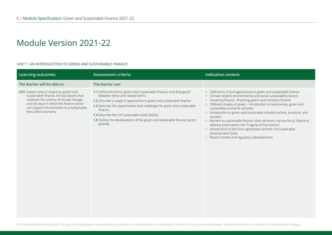#### UNIT 1: AN INTRODUCTION TO GREEN AND SUSTAINABLE FINANCE

| <b>Learning outcomes</b>                                                                                                                                                                                                                               | <b>Assessment criteria</b>                                                                                                                                                                                                                                                                                                                                                                                                 | <b>Indicative content</b>                                                                                                                                                                                                                                                                                                                                                                                                                                                                                                                                                                                                                                                                                    |
|--------------------------------------------------------------------------------------------------------------------------------------------------------------------------------------------------------------------------------------------------------|----------------------------------------------------------------------------------------------------------------------------------------------------------------------------------------------------------------------------------------------------------------------------------------------------------------------------------------------------------------------------------------------------------------------------|--------------------------------------------------------------------------------------------------------------------------------------------------------------------------------------------------------------------------------------------------------------------------------------------------------------------------------------------------------------------------------------------------------------------------------------------------------------------------------------------------------------------------------------------------------------------------------------------------------------------------------------------------------------------------------------------------------------|
| The learner will be able to:                                                                                                                                                                                                                           | The learner can:                                                                                                                                                                                                                                                                                                                                                                                                           |                                                                                                                                                                                                                                                                                                                                                                                                                                                                                                                                                                                                                                                                                                              |
| LO1: Explain what is meant by 'green' and<br>'sustainable' finance, the key factors that<br>underpin the science of climate change,<br>and the ways in which the finance sector<br>can support the transition to a sustainable,<br>low-carbon economy. | 1.1 Define the terms 'green' and 'sustainable' finance, and distinguish<br>between these and related terms.<br>1.2 Describe a range of approaches to green and sustainable finance.<br>1.3 Describe the opportunities and challenges for green and sustainable<br>finance.<br><b>1.4</b> Describe the UN Sustainable Goals (SDGs).<br>1.5 Outline the development of the green and sustainable finance sector<br>globally. | Definitions of and approaches to green and sustainable finance<br>$\bullet$<br>Climate-related, environmental and social sustainability factors<br>٠<br>'Greening finance', 'financing green' and transition finance<br>٠<br>Different shades of green - introduction to taxonomies, green and<br>sustainable economic activities<br>• Introduction to green and sustainable industry sectors, products, and<br>services<br>Barriers to sustainable finance: short-termism, narrow focus, failure to<br>$\bullet$<br>address externalities: the 'Tragedy of the Horizon'<br>• Introduction to the Paris Agreement and the UN Sustainable<br>Development Goals<br>• Recent market and regulatory developments |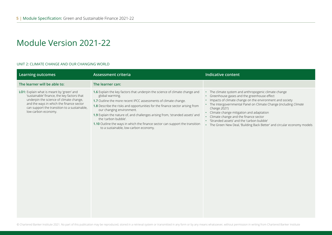#### UNIT 2: CLIMATE CHANGE AND OUR CHANGING WORLD

| <b>Learning outcomes</b>                                                                                                                                                                                                                               | Assessment criteria                                                                                                                                                                                                                                                                                                                                                                                                                                                                                              | Indicative content                                                                                                                                                                                                                                                                                                                                                                                                                                                |
|--------------------------------------------------------------------------------------------------------------------------------------------------------------------------------------------------------------------------------------------------------|------------------------------------------------------------------------------------------------------------------------------------------------------------------------------------------------------------------------------------------------------------------------------------------------------------------------------------------------------------------------------------------------------------------------------------------------------------------------------------------------------------------|-------------------------------------------------------------------------------------------------------------------------------------------------------------------------------------------------------------------------------------------------------------------------------------------------------------------------------------------------------------------------------------------------------------------------------------------------------------------|
| The learner will be able to:                                                                                                                                                                                                                           | The learner can:                                                                                                                                                                                                                                                                                                                                                                                                                                                                                                 |                                                                                                                                                                                                                                                                                                                                                                                                                                                                   |
| LO1: Explain what is meant by 'green' and<br>'sustainable' finance, the key factors that<br>underpin the science of climate change,<br>and the ways in which the finance sector<br>can support the transition to a sustainable,<br>low-carbon economy. | 1.6 Explain the key factors that underpin the science of climate change and<br>global warming.<br>1.7 Outline the more recent IPCC assessments of climate change.<br>1.8 Describe the risks and opportunities for the finance sector arising from<br>our changing environment.<br>1.9 Explain the nature of, and challenges arising from, 'stranded assets' and<br>the 'carbon bubble'.<br>1.10 Outline the ways in which the finance sector can support the transition<br>to a sustainable, low-carbon economy. | • The climate system and anthropogenic climate change<br>Greenhouse gases and the greenhouse effect<br>Impacts of climate change on the environment and society<br>• The Intergovernmental Panel on Climate Change (including Climate<br>Change 2021)<br>Climate change mitigation and adaptation<br>Climate change and the finance sector<br>'Stranded assets' and the 'carbon bubble'<br>The Green New Deal, 'Building Back Better' and circular economy models |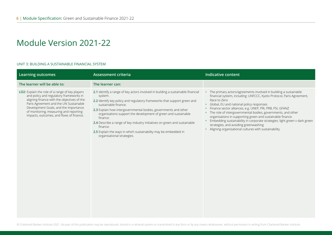#### UNIT 3: BUILDING A SUSTAINABLE FINANCIAL SYSTEM

| <b>Learning outcomes</b>                                                                                                                                                                                                                                                                                           | <b>Assessment criteria</b>                                                                                                                                                                                                                                                                                                                                                                                                                                                                                                                | <b>Indicative content</b>                                                                                                                                                                                                                                                                                                                                                                                                                                                                                                                                                                  |
|--------------------------------------------------------------------------------------------------------------------------------------------------------------------------------------------------------------------------------------------------------------------------------------------------------------------|-------------------------------------------------------------------------------------------------------------------------------------------------------------------------------------------------------------------------------------------------------------------------------------------------------------------------------------------------------------------------------------------------------------------------------------------------------------------------------------------------------------------------------------------|--------------------------------------------------------------------------------------------------------------------------------------------------------------------------------------------------------------------------------------------------------------------------------------------------------------------------------------------------------------------------------------------------------------------------------------------------------------------------------------------------------------------------------------------------------------------------------------------|
| The learner will be able to:                                                                                                                                                                                                                                                                                       | The learner can:                                                                                                                                                                                                                                                                                                                                                                                                                                                                                                                          |                                                                                                                                                                                                                                                                                                                                                                                                                                                                                                                                                                                            |
| LO2: Explain the role of a range of key players<br>and policy and regulatory frameworks in<br>aligning finance with the objectives of the<br>Paris Agreement and the UN Sustainable<br>Development Goals, and the importance<br>of monitoring, measuring and reporting<br>impacts, outcomes, and flows of finance. | 2.1 Identify a range of key actors involved in building a sustainable financial<br>system.<br>2.2 Identify key policy and regulatory frameworks that support green and<br>sustainable finance.<br>2.3 Explain how intergovernmental bodies, governments and other<br>organisations support the development of green and sustainable<br>finance.<br>2.4 Describe a range of key industry initiatives on green and sustainable<br>finance.<br>2.5 Explain the ways in which sustainability may be embedded in<br>organisational strategies. | • The primary actors/agreements involved in building a sustainable<br>financial system, including: UNFCCC, Kyoto Protocol, Paris Agreement,<br>Race to Zero<br>• Global, EU and national policy responses<br>· Finance sector alliances, e.g. UNEP, PRI, PRB, PSI, GFANZ<br>• The role of intergovernmental bodies, governments, and other<br>organisations in supporting green and sustainable finance<br>• Embedding sustainability in corporate strategies: light green v dark green<br>strategies, and avoiding greenwashing<br>• Aligning organisational cultures with sustainability |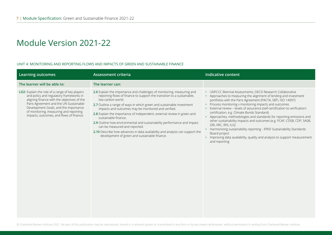#### UNIT 4: MONITORING AND REPORTING FLOWS AND IMPACTS OF GREEN AND SUSTAINABLE FINANCE

| <b>Learning outcomes</b>                                                                                                                                                                                                                                                                                           | <b>Assessment criteria</b>                                                                                                                                                                                                                                                                                                                                                                                                                                                                                                                                                                                                                            | <b>Indicative content</b>                                                                                                                                                                                                                                                                                                                                                                                                                                                                                                                                                                                                                                                                                                                                                  |
|--------------------------------------------------------------------------------------------------------------------------------------------------------------------------------------------------------------------------------------------------------------------------------------------------------------------|-------------------------------------------------------------------------------------------------------------------------------------------------------------------------------------------------------------------------------------------------------------------------------------------------------------------------------------------------------------------------------------------------------------------------------------------------------------------------------------------------------------------------------------------------------------------------------------------------------------------------------------------------------|----------------------------------------------------------------------------------------------------------------------------------------------------------------------------------------------------------------------------------------------------------------------------------------------------------------------------------------------------------------------------------------------------------------------------------------------------------------------------------------------------------------------------------------------------------------------------------------------------------------------------------------------------------------------------------------------------------------------------------------------------------------------------|
| The learner will be able to:                                                                                                                                                                                                                                                                                       | The learner can:                                                                                                                                                                                                                                                                                                                                                                                                                                                                                                                                                                                                                                      |                                                                                                                                                                                                                                                                                                                                                                                                                                                                                                                                                                                                                                                                                                                                                                            |
| LO2: Explain the role of a range of key players<br>and policy and regulatory frameworks in<br>aligning finance with the objectives of the<br>Paris Agreement and the UN Sustainable<br>Development Goals, and the importance<br>of monitoring, measuring and reporting<br>impacts, outcomes, and flows of finance. | 2.6 Explain the importance and challenges of monitoring, measuring and<br>reporting flows of finance to support the transition to a sustainable,<br>low-carbon world.<br>2.7 Outline a range of ways in which green and sustainable investment<br>impacts and outcomes may be monitored and verified.<br>2.8 Explain the importance of independent, external review in green and<br>sustainable finance.<br>2.9 Outline how environmental and sustainability performance and impact<br>can be measured and reported.<br>2.10 Describe how advances in data availability and analysis can support the<br>development of green and sustainable finance. | • UNFCCC Biennial Assessments, OECD Research Collaborative<br>• Approaches to measuring the alignment of lending and investment<br>portfolios with the Paris Agreement (PACTA, SBTi, ISO 14097)<br>Process monitoring v monitoring impacts and outcomes<br>$\bullet$<br>• External review - levels of assurance (self-certification to verification/<br>certification, e.g. Climate Bonds Standard)<br>• Approaches, methodologies and standards for reporting emissions and<br>other sustainability impacts and outcomes (e.g. PCAF, CDSB, CDP, SASB,<br>GRI, IIRC, IRIS, ILG)<br>• Harmonizing sustainability reporting - IFRSF Sustainability Standards<br>Board project<br>• Improving data availability, quality and analysis to support measurement<br>and reporting |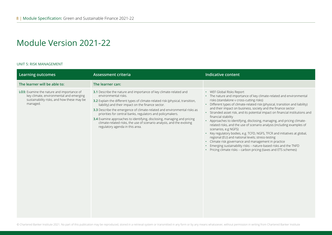#### UNIT 5: RISK MANAGEMENT

| <b>Learning outcomes</b>                                                                                                                       | <b>Assessment criteria</b>                                                                                                                                                                                                                                                                                                                                                                                                                                                                                                                                         | <b>Indicative content</b>                                                                                                                                                                                                                                                                                                                                                                                                                                                                                                                                                                                                                                                                                                                                                                                                                                                                                             |
|------------------------------------------------------------------------------------------------------------------------------------------------|--------------------------------------------------------------------------------------------------------------------------------------------------------------------------------------------------------------------------------------------------------------------------------------------------------------------------------------------------------------------------------------------------------------------------------------------------------------------------------------------------------------------------------------------------------------------|-----------------------------------------------------------------------------------------------------------------------------------------------------------------------------------------------------------------------------------------------------------------------------------------------------------------------------------------------------------------------------------------------------------------------------------------------------------------------------------------------------------------------------------------------------------------------------------------------------------------------------------------------------------------------------------------------------------------------------------------------------------------------------------------------------------------------------------------------------------------------------------------------------------------------|
| The learner will be able to:                                                                                                                   | The learner can:                                                                                                                                                                                                                                                                                                                                                                                                                                                                                                                                                   |                                                                                                                                                                                                                                                                                                                                                                                                                                                                                                                                                                                                                                                                                                                                                                                                                                                                                                                       |
| LO3: Examine the nature and importance of<br>key climate, environmental and emerging<br>sustainability risks, and how these may be<br>managed. | 3.1 Describe the nature and importance of key climate-related and<br>environmental risks.<br>3.2 Explain the different types of climate-related risk (physical, transition,<br>liability) and their impact on the finance sector.<br>3.3 Describe the emergence of climate-related and environmental risks as<br>priorities for central banks, regulators and policymakers.<br>3.4 Examine approaches to identifying, disclosing, managing and pricing<br>climate-related risks, the use of scenario analysis, and the evolving<br>regulatory agenda in this area. | • WEF Global Risks Report<br>• The nature and importance of key climate-related and environmental<br>risks (standalone v cross-cutting risks)<br>• Different types of climate-related risk (physical, transition and liability)<br>and their impact on business, society and the finance sector<br>• Stranded asset risk, and its potential impact on financial institutions and<br>financial stability<br>• Approaches to identifying, disclosing, managing, and pricing climate-<br>related risks, and the use of scenario analysis (including examples of<br>scenarios, e.g NGFS)<br>• Key regulatory bodies, e.g. TCFD, NGFS, TFCR and initiatives at global,<br>regional (EU) and national levels; stress-testing<br>• Climate risk governance and management in practice<br>Emerging sustainability risks - nature-based risks and the TNFD<br>• Pricing climate risks - carbon pricing (taxes and ETS schemes) |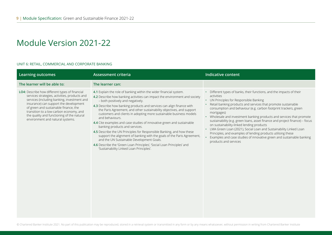#### UNIT 6: RETAIL, COMMERCIAL AND CORPORATE BANKING

| Learning outcomes                                                                                                                                                                                                                                                                                                                                              | <b>Assessment criteria</b>                                                                                                                                                                                                                                                                                                                                                                                                                                                                                                                                                                                                                                                                                                                                                                                                                                          | <b>Indicative content</b>                                                                                                                                                                                                                                                                                                                                                                                                                                                                                                                                                                                                                                                                                                        |
|----------------------------------------------------------------------------------------------------------------------------------------------------------------------------------------------------------------------------------------------------------------------------------------------------------------------------------------------------------------|---------------------------------------------------------------------------------------------------------------------------------------------------------------------------------------------------------------------------------------------------------------------------------------------------------------------------------------------------------------------------------------------------------------------------------------------------------------------------------------------------------------------------------------------------------------------------------------------------------------------------------------------------------------------------------------------------------------------------------------------------------------------------------------------------------------------------------------------------------------------|----------------------------------------------------------------------------------------------------------------------------------------------------------------------------------------------------------------------------------------------------------------------------------------------------------------------------------------------------------------------------------------------------------------------------------------------------------------------------------------------------------------------------------------------------------------------------------------------------------------------------------------------------------------------------------------------------------------------------------|
| The learner will be able to:                                                                                                                                                                                                                                                                                                                                   | The learner can:                                                                                                                                                                                                                                                                                                                                                                                                                                                                                                                                                                                                                                                                                                                                                                                                                                                    |                                                                                                                                                                                                                                                                                                                                                                                                                                                                                                                                                                                                                                                                                                                                  |
| LO4: Describe how different types of financial<br>services strategies, activities, products and<br>services (including banking, investment and<br>insurance) can support the development<br>of green and sustainable finance, the<br>transition to a low-carbon economy, and<br>the quality and functioning of the natural<br>environment and natural systems. | 4.1 Explain the role of banking within the wider financial system.<br>4.2 Describe how banking activities can impact the environment and society<br>- both positively and negatively.<br>4.3 Describe how banking products and services can align finance with<br>the Paris Agreement, and other sustainability objectives, and support<br>customers and clients in adopting more sustainable business models<br>and behaviours.<br>4.4 Cite examples and case studies of innovative green and sustainable<br>banking products and services.<br>4.5 Describe the UN Principles for Responsible Banking, and how these<br>support the alignment of banking with the goals of the Paris Agreement,<br>and the UN Sustainable Development Goals.<br>4.6 Describe the 'Green Loan Principles', 'Social Loan Principles' and<br>'Sustainability Linked Loan Principles'. | • Different types of banks, their functions, and the impacts of their<br>activities<br>• UN Principles for Responsible Banking<br>Retail banking products and services that promote sustainable<br>consumption and behaviour (e.g. carbon footprint trackers, green<br>mortgages)<br>• Wholesale and investment banking products and services that promote<br>sustainability (e.g. green loans, asset finance and project finance) - focus<br>on sustainability-linked lending products<br>• LMA Green Loan (2021), Social Loan and Sustainability Linked Loan<br>Principles, and examples of lending products utilising these<br>Examples and case studies of innovative green and sustainable banking<br>products and services |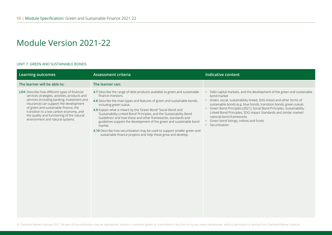#### UNIT 7: GREEN AND SUSTAINABLE BONDS

| <b>Learning outcomes</b>                                                                                                                                                                                                                                                                                                                                       | <b>Assessment criteria</b>                                                                                                                                                                                                                                                                                                                                                                                                                                                                                                                                                                                                                           | <b>Indicative content</b>                                                                                                                                                                                                                                                                                                                                                                                                                                                         |
|----------------------------------------------------------------------------------------------------------------------------------------------------------------------------------------------------------------------------------------------------------------------------------------------------------------------------------------------------------------|------------------------------------------------------------------------------------------------------------------------------------------------------------------------------------------------------------------------------------------------------------------------------------------------------------------------------------------------------------------------------------------------------------------------------------------------------------------------------------------------------------------------------------------------------------------------------------------------------------------------------------------------------|-----------------------------------------------------------------------------------------------------------------------------------------------------------------------------------------------------------------------------------------------------------------------------------------------------------------------------------------------------------------------------------------------------------------------------------------------------------------------------------|
| The learner will be able to:                                                                                                                                                                                                                                                                                                                                   | The learner can:                                                                                                                                                                                                                                                                                                                                                                                                                                                                                                                                                                                                                                     |                                                                                                                                                                                                                                                                                                                                                                                                                                                                                   |
| LO4: Describe how different types of financial<br>services strategies, activities, products and<br>services (including banking, investment and<br>insurance) can support the development<br>of green and sustainable finance, the<br>transition to a low-carbon economy, and<br>the quality and functioning of the natural<br>environment and natural systems. | 4.7 Describe the range of debt products available to green and sustainable<br>finance investors.<br>4.8 Describe the main types and features of green and sustainable bonds,<br>including green sukuk.<br>4.9 Explain what is meant by the 'Green Bond' 'Social Bond' and<br>'Sustainability-Linked Bond' Principles, and the 'Sustainability Bond<br>Guidelines' and how these and other frameworks, standards and<br>guidelines support the development of the green and sustainable bond<br>market.<br>4.10 Describe how securitisation may be used to support smaller green and<br>sustainable finance projects and help these grow and develop. | • Debt capital markets, and the development of the green and sustainable<br>bond market<br>· Green, social, sustainability-linked, SDG-linked and other forms of<br>sustainable bonds (e.g. blue bonds, transition bonds, green sukuk)<br>• Green Bond Principles (2021), Social Bond Principles, Sustainability-<br>Linked Bond Principles, SDG Impact Standards and similar market/<br>national bond frameworks<br>• Green bond listings, indices and funds<br>• Securitisation |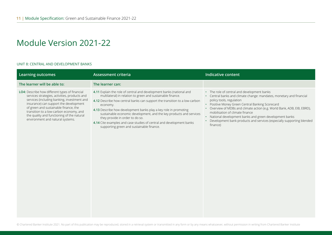#### UNIT 8: CENTRAL AND DEVELOPMENT BANKS

| <b>Learning outcomes</b>                                                                                                                                                                                                                                                                                                                                              | <b>Assessment criteria</b>                                                                                                                                                                                                                                                                                                                                                                                                                                                                                                       | <b>Indicative content</b>                                                                                                                                                                                                                                                                                                                                                                                                                                                    |
|-----------------------------------------------------------------------------------------------------------------------------------------------------------------------------------------------------------------------------------------------------------------------------------------------------------------------------------------------------------------------|----------------------------------------------------------------------------------------------------------------------------------------------------------------------------------------------------------------------------------------------------------------------------------------------------------------------------------------------------------------------------------------------------------------------------------------------------------------------------------------------------------------------------------|------------------------------------------------------------------------------------------------------------------------------------------------------------------------------------------------------------------------------------------------------------------------------------------------------------------------------------------------------------------------------------------------------------------------------------------------------------------------------|
| The learner will be able to:                                                                                                                                                                                                                                                                                                                                          | The learner can:                                                                                                                                                                                                                                                                                                                                                                                                                                                                                                                 |                                                                                                                                                                                                                                                                                                                                                                                                                                                                              |
| <b>LO4:</b> Describe how different types of financial<br>services strategies, activities, products and<br>services (including banking, investment and<br>insurance) can support the development<br>of green and sustainable finance, the<br>transition to a low-carbon economy, and<br>the quality and functioning of the natural<br>environment and natural systems. | 4.11 Explain the role of central and development banks (national and<br>multilateral) in relation to green and sustainable finance.<br>4.12 Describe how central banks can support the transition to a low-carbon<br>economy.<br>4.13 Describe how development banks play a key role in promoting<br>sustainable economic development, and the key products and services<br>they provide in order to do so.<br>4.14 Cite examples and case studies of central and development banks<br>supporting green and sustainable finance. | • The role of central and development banks<br>Central banks and climate change: mandates, monetary and financial<br>policy tools, regulation<br>Positive Money Green Central Banking Scorecard<br>$\bullet$ .<br>Overview of MDBs and climate action (e.g. World Bank, ADB, EIB, EBRD),<br>mobilisation of climate finance<br>• National development banks and green development banks<br>Development bank products and services (especially supporting blended<br>finance) |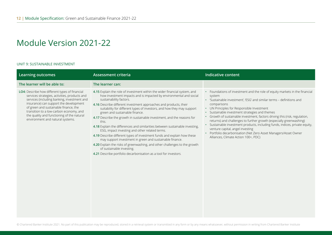#### UNIT 9: SUSTAINABLE INVESTMENT

| <b>Learning outcomes</b>                                                                                                                                                                                                                                                                                                                                       | <b>Assessment criteria</b>                                                                                                                                                                                                                                                                                                                                                                                                                                                                                                                                                                                                                                                                                                                                                                                                                                                                               | <b>Indicative content</b>                                                                                                                                                                                                                                                                                                                                                                                                                                                                                                                                                                                                                                                    |
|----------------------------------------------------------------------------------------------------------------------------------------------------------------------------------------------------------------------------------------------------------------------------------------------------------------------------------------------------------------|----------------------------------------------------------------------------------------------------------------------------------------------------------------------------------------------------------------------------------------------------------------------------------------------------------------------------------------------------------------------------------------------------------------------------------------------------------------------------------------------------------------------------------------------------------------------------------------------------------------------------------------------------------------------------------------------------------------------------------------------------------------------------------------------------------------------------------------------------------------------------------------------------------|------------------------------------------------------------------------------------------------------------------------------------------------------------------------------------------------------------------------------------------------------------------------------------------------------------------------------------------------------------------------------------------------------------------------------------------------------------------------------------------------------------------------------------------------------------------------------------------------------------------------------------------------------------------------------|
| The learner will be able to:                                                                                                                                                                                                                                                                                                                                   | The learner can:                                                                                                                                                                                                                                                                                                                                                                                                                                                                                                                                                                                                                                                                                                                                                                                                                                                                                         |                                                                                                                                                                                                                                                                                                                                                                                                                                                                                                                                                                                                                                                                              |
| LO4: Describe how different types of financial<br>services strategies, activities, products and<br>services (including banking, investment and<br>insurance) can support the development<br>of green and sustainable finance, the<br>transition to a low-carbon economy, and<br>the quality and functioning of the natural<br>environment and natural systems. | 4.15 Explain the role of investment within the wider financial system, and<br>how investment impacts and is impacted by environmental and social<br>sustainability factors.<br>4.16 Describe different investment approaches and products, their<br>suitability for different types of investors, and how they may support<br>green and sustainable finance.<br>4.17 Describe the growth in sustainable investment, and the reasons for<br>this.<br>4.18 Explain the differences and similarities between sustainable investing,<br>ESG, impact investing and other related terms.<br>4.19 Describe different types of investment funds and explain how these<br>may support investment in green and sustainable finance.<br>4.20 Explain the risks of greenwashing, and other challenges to the growth<br>of sustainable investing.<br>4.21 Describe portfolio decarbonisation as a tool for investors. | • Foundations of investment and the role of equity markets in the financial<br>system<br>• 'Sustainable investment', 'ESG' and similar terms - definitions and<br>comparisons<br>• UN Principles for Responsible Investment<br>· Sustainable investment strategies and themes<br>Growth of sustainable investment, factors driving this (risk, regulation,<br>returns) and challenges to further growth (especially greenwashing)<br>· Sustainable investment products, including funds, indices, private equity,<br>venture capital, angel investing<br>Portfolio decarbonisation (Net Zero Asset Managers/Asset Owner<br>$\bullet$<br>Alliances, Climate Action 100+, PDC) |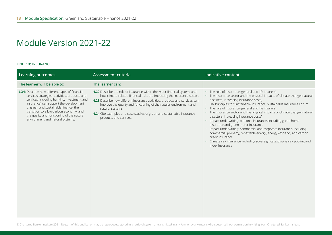#### UNIT 10: INSURANCE

| <b>Learning outcomes</b>                                                                                                                                                                                                                                                                                                                                       | <b>Assessment criteria</b>                                                                                                                                                                                                                                                                                                                                                                                                         | <b>Indicative content</b>                                                                                                                                                                                                                                                                                                                                                                                                                                                                                                                                                                                                                                                                                                                                                                                                              |
|----------------------------------------------------------------------------------------------------------------------------------------------------------------------------------------------------------------------------------------------------------------------------------------------------------------------------------------------------------------|------------------------------------------------------------------------------------------------------------------------------------------------------------------------------------------------------------------------------------------------------------------------------------------------------------------------------------------------------------------------------------------------------------------------------------|----------------------------------------------------------------------------------------------------------------------------------------------------------------------------------------------------------------------------------------------------------------------------------------------------------------------------------------------------------------------------------------------------------------------------------------------------------------------------------------------------------------------------------------------------------------------------------------------------------------------------------------------------------------------------------------------------------------------------------------------------------------------------------------------------------------------------------------|
| The learner will be able to:                                                                                                                                                                                                                                                                                                                                   | The learner can:                                                                                                                                                                                                                                                                                                                                                                                                                   |                                                                                                                                                                                                                                                                                                                                                                                                                                                                                                                                                                                                                                                                                                                                                                                                                                        |
| LO4: Describe how different types of financial<br>services strategies, activities, products and<br>services (including banking, investment and<br>insurance) can support the development<br>of green and sustainable finance, the<br>transition to a low-carbon economy, and<br>the quality and functioning of the natural<br>environment and natural systems. | 4.22 Describe the role of insurance within the wider financial system, and<br>how climate-related financial risks are impacting the insurance sector.<br>4.23 Describe how different insurance activities, products and services can<br>improve the quality and functioning of the natural environment and<br>natural systems.<br>4.24 Cite examples and case studies of green and sustainable insurance<br>products and services. | • The role of insurance (general and life insurers)<br>• The insurance sector and the physical impacts of climate change (natural<br>disasters, increasing insurance costs)<br>UN Principles for Sustainable Insurance, Sustainable Insurance Forum<br>$\bullet$<br>The role of insurance (general and life insurers)<br>$\bullet$<br>The insurance sector and the physical impacts of climate change (natural<br>disasters, increasing insurance costs)<br>• Impact underwriting: personal insurance, including green home<br>insurance and green motor insurance<br>• Impact underwriting: commercial and corporate insurance, including<br>commercial property, renewable energy, energy efficiency and carbon<br>credit insurance<br>• Climate risk insurance, including sovereign catastrophe risk pooling and<br>index insurance |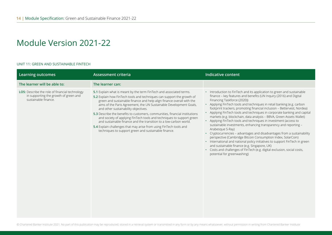#### UNIT 11: GREEN AND SUSTAINABLE FINTECH

| <b>Learning outcomes</b>                                                                                        | Assessment criteria                                                                                                                                                                                                                                                                                                                                                                                                                                                                                                                                                                                                                                                                             | <b>Indicative content</b>                                                                                                                                                                                                                                                                                                                                                                                                                                                                                                                                                                                                                                                                                                                                                                                                                                                                                                                                                                                                            |
|-----------------------------------------------------------------------------------------------------------------|-------------------------------------------------------------------------------------------------------------------------------------------------------------------------------------------------------------------------------------------------------------------------------------------------------------------------------------------------------------------------------------------------------------------------------------------------------------------------------------------------------------------------------------------------------------------------------------------------------------------------------------------------------------------------------------------------|--------------------------------------------------------------------------------------------------------------------------------------------------------------------------------------------------------------------------------------------------------------------------------------------------------------------------------------------------------------------------------------------------------------------------------------------------------------------------------------------------------------------------------------------------------------------------------------------------------------------------------------------------------------------------------------------------------------------------------------------------------------------------------------------------------------------------------------------------------------------------------------------------------------------------------------------------------------------------------------------------------------------------------------|
| The learner will be able to:                                                                                    | The learner can:                                                                                                                                                                                                                                                                                                                                                                                                                                                                                                                                                                                                                                                                                |                                                                                                                                                                                                                                                                                                                                                                                                                                                                                                                                                                                                                                                                                                                                                                                                                                                                                                                                                                                                                                      |
| LO5: Describe the role of financial technology<br>in supporting the growth of green and<br>sustainable finance. | 5.1 Explain what is meant by the term FinTech and associated terms.<br>5.2 Explain how FinTech tools and techniques can support the growth of<br>green and sustainable finance and help align finance overall with the<br>aims of the Paris Agreement, the UN Sustainable Development Goals,<br>and other sustainability objectives.<br>5.3 Describe the benefits to customers, communities, financial institutions<br>and society of applying FinTech tools and techniques to support green<br>and sustainable finance and the transition to a low-carbon world.<br>5.4 Explain challenges that may arise from using FinTech tools and<br>techniques to support green and sustainable finance. | • Introduction to FinTech and its application to green and sustainable<br>finance - key features and benefits (UN Inquiry (2016) and Digital<br>Financing Taskforce (2020))<br>• Applying FinTech tools and techniques in retail banking (e.g. carbon<br>footprint trackers, promoting financial inclusion - Bettervest, Nordea)<br>• Applying FinTech tools and techniques in corporate banking and capital<br>markets (e.g. blockchain, data analysis - BBVA, Green Assets Wallet)<br>• Applying FinTech tools and techniques in investment (access to<br>sustainable investments, enhancing transparency and reporting -<br>Arabesque S-Ray)<br>• Cryptocurrencies - advantages and disadvantages from a sustainability<br>perspective (Cambridge Bitcoin Consumption Index, SolarCoin)<br>• International and national policy initiatives to support FinTech in green<br>and sustainable finance (e.g. Singapore, UK)<br>• Costs and challenges of FinTech (e.g. digital exclusion, social costs,<br>potential for greenwashing) |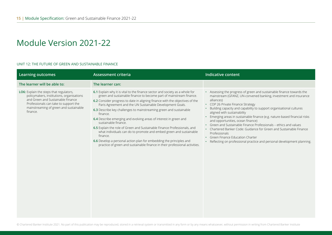#### UNIT 12: THE FUTURE OF GREEN AND SUSTAINABLE FINANCE

| <b>Learning outcomes</b>                                                                                                                                                                                                 | <b>Assessment criteria</b>                                                                                                                                                                                                                                                                                                                                                                                                                                                                                                                                                                                                                                                                                                                                                                          | <b>Indicative content</b>                                                                                                                                                                                                                                                                                                                                                                                                                                                                                                                                                                                                                                                                   |
|--------------------------------------------------------------------------------------------------------------------------------------------------------------------------------------------------------------------------|-----------------------------------------------------------------------------------------------------------------------------------------------------------------------------------------------------------------------------------------------------------------------------------------------------------------------------------------------------------------------------------------------------------------------------------------------------------------------------------------------------------------------------------------------------------------------------------------------------------------------------------------------------------------------------------------------------------------------------------------------------------------------------------------------------|---------------------------------------------------------------------------------------------------------------------------------------------------------------------------------------------------------------------------------------------------------------------------------------------------------------------------------------------------------------------------------------------------------------------------------------------------------------------------------------------------------------------------------------------------------------------------------------------------------------------------------------------------------------------------------------------|
| The learner will be able to:                                                                                                                                                                                             | The learner can:                                                                                                                                                                                                                                                                                                                                                                                                                                                                                                                                                                                                                                                                                                                                                                                    |                                                                                                                                                                                                                                                                                                                                                                                                                                                                                                                                                                                                                                                                                             |
| LO6: Explain the steps that regulators,<br>policymakers, institutions, organisations<br>and Green and Sustainable Finance<br>Professionals can take to support the<br>mainstreaming of green and sustainable<br>finance. | 6.1 Explain why it is vital to the finance sector and society as a whole for<br>green and sustainable finance to become part of mainstream finance.<br>6.2 Consider progress to date in aligning finance with the objectives of the<br>Paris Agreement and the UN Sustainable Development Goals.<br>6.3 Describe key challenges to mainstreaming green and sustainable<br>finance.<br>6.4 Describe emerging and evolving areas of interest in green and<br>sustainable finance.<br>6.5 Explain the role of Green and Sustainable Finance Professionals, and<br>what individuals can do to promote and embed green and sustainable<br>finance.<br>6.6 Develop a personal action plan for embedding the principles and<br>practice of green and sustainable finance in their professional activities. | • Assessing the progress of green and sustainable finance towards the<br>mainstream (GFANZ, UN-convened banking, investment and insurance<br>alliances)<br>• COP 26 Private Finance Strategy<br>Building capacity and capability to support organisational cultures<br>aligned with sustainability<br>Emerging areas in sustainable finance (e.g. nature-based financial risks<br>and opportunities, ocean finance)<br>Green and Sustainable Finance Professionals - ethics and values<br>Chartered Banker Code: Guidance for Green and Sustainable Finance<br>Professionals<br>• Green Finance Education Charter<br>Reflecting on professional practice and personal development planning. |